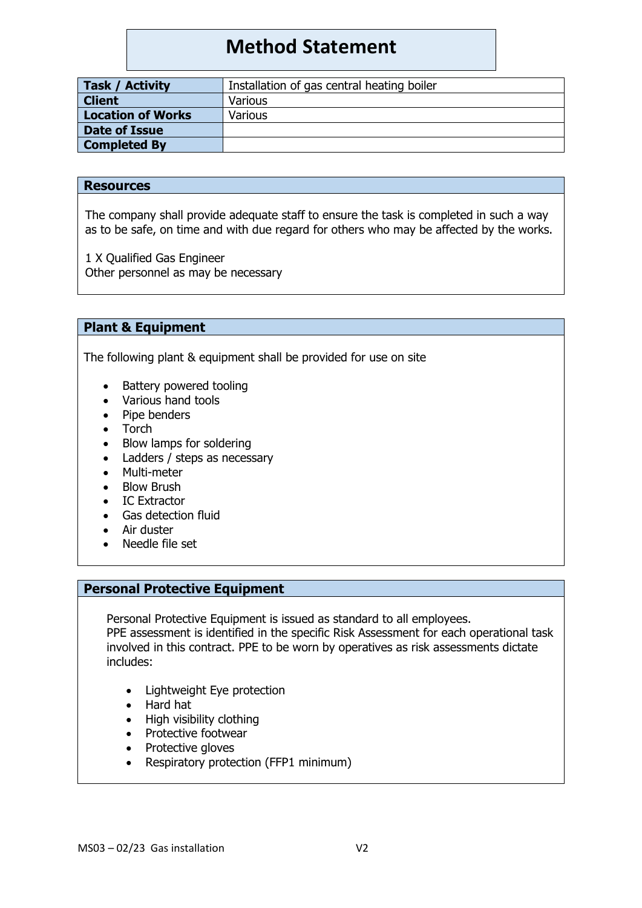# **Method Statement**

| Installation of gas central heating boiler |
|--------------------------------------------|
|                                            |
|                                            |
|                                            |
|                                            |
| Various<br>Various                         |

#### **Resources**

The company shall provide adequate staff to ensure the task is completed in such a way as to be safe, on time and with due regard for others who may be affected by the works.

1 X Qualified Gas Engineer Other personnel as may be necessary

## **Plant & Equipment**

The following plant & equipment shall be provided for use on site

- Battery powered tooling
- Various hand tools
- Pipe benders
- Torch
- Blow lamps for soldering
- Ladders / steps as necessary
- Multi-meter
- **Blow Brush**
- IC Extractor
- Gas detection fluid
- Air duster
- Needle file set

## **Personal Protective Equipment**

Personal Protective Equipment is issued as standard to all employees.

PPE assessment is identified in the specific Risk Assessment for each operational task involved in this contract. PPE to be worn by operatives as risk assessments dictate includes:

- Lightweight Eye protection
- Hard hat
- High visibility clothing
- Protective footwear
- Protective gloves
- Respiratory protection (FFP1 minimum)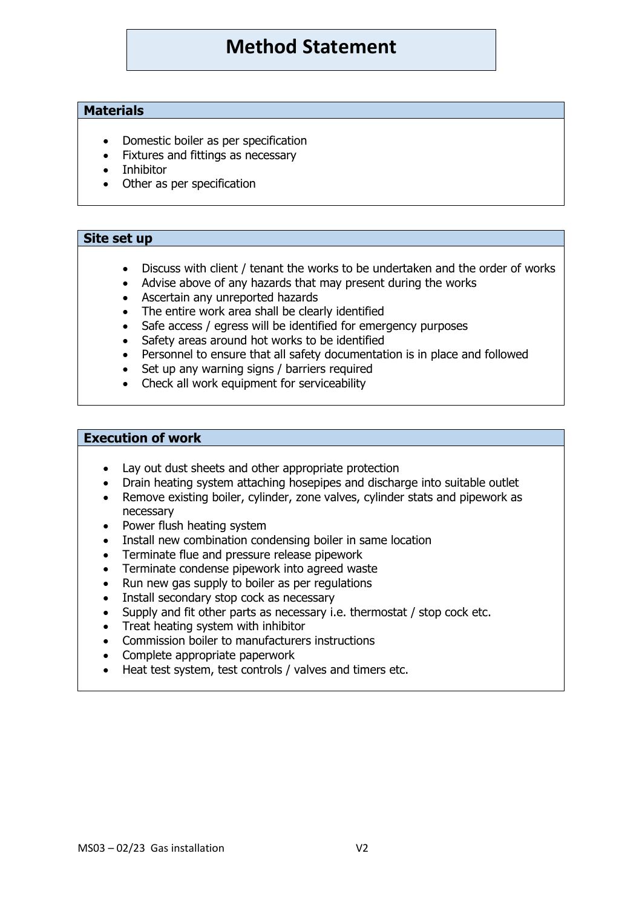## **Method Statement**

## **Materials**

- Domestic boiler as per specification
- Fixtures and fittings as necessary
- Inhibitor
- Other as per specification

#### **Site set up**

- Discuss with client / tenant the works to be undertaken and the order of works
- Advise above of any hazards that may present during the works
- Ascertain any unreported hazards
- The entire work area shall be clearly identified
- Safe access / egress will be identified for emergency purposes
- Safety areas around hot works to be identified
- Personnel to ensure that all safety documentation is in place and followed
- Set up any warning signs / barriers required
- Check all work equipment for serviceability

#### **Execution of work**

- Lay out dust sheets and other appropriate protection
- Drain heating system attaching hosepipes and discharge into suitable outlet
- Remove existing boiler, cylinder, zone valves, cylinder stats and pipework as necessary
- Power flush heating system
- Install new combination condensing boiler in same location
- Terminate flue and pressure release pipework
- Terminate condense pipework into agreed waste
- Run new gas supply to boiler as per regulations
- Install secondary stop cock as necessary
- Supply and fit other parts as necessary i.e. thermostat / stop cock etc.
- Treat heating system with inhibitor
- Commission boiler to manufacturers instructions
- Complete appropriate paperwork
- Heat test system, test controls / valves and timers etc.